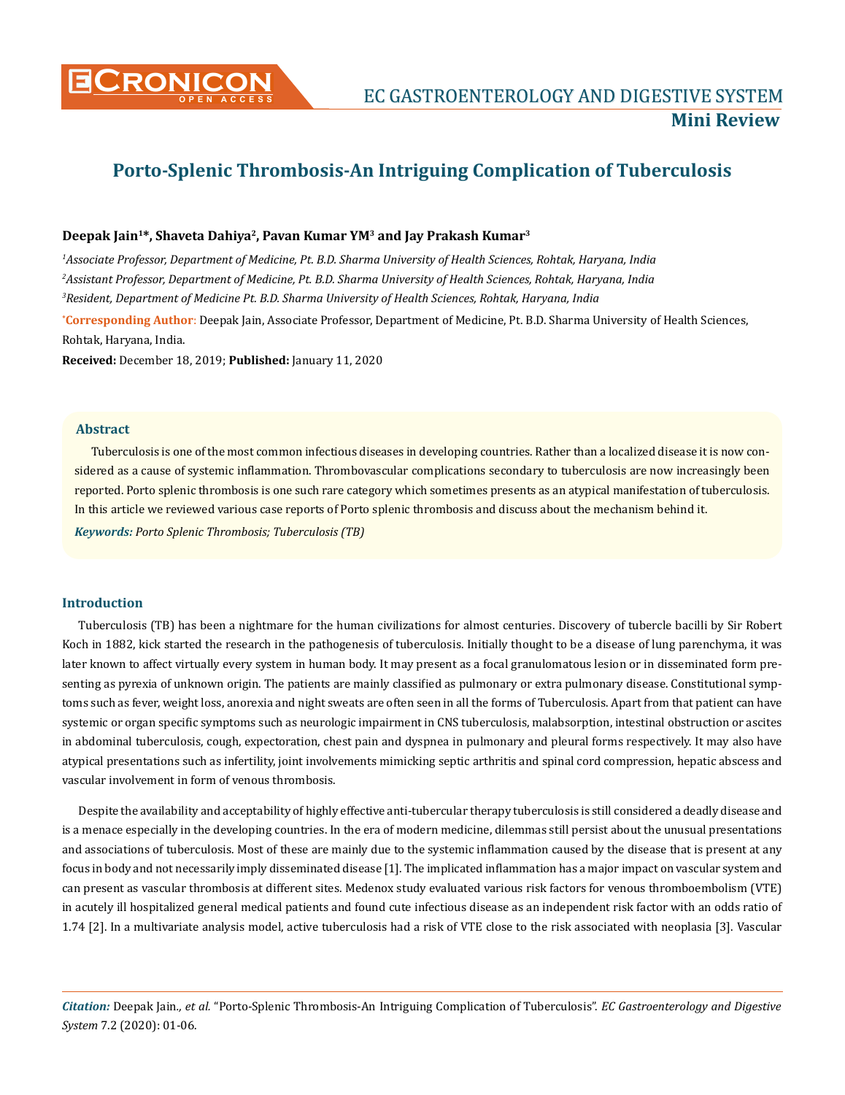

# **Porto-Splenic Thrombosis-An Intriguing Complication of Tuberculosis**

## **Deepak Jain1\*, Shaveta Dahiya2, Pavan Kumar YM3 and Jay Prakash Kumar3**

**\* Corresponding Author**: Deepak Jain, Associate Professor, Department of Medicine, Pt. B.D. Sharma University of Health Sciences, Rohtak, Haryana, India. *1 Associate Professor, Department of Medicine, Pt. B.D. Sharma University of Health Sciences, Rohtak, Haryana, India 2 Assistant Professor, Department of Medicine, Pt. B.D. Sharma University of Health Sciences, Rohtak, Haryana, India 3 Resident, Department of Medicine Pt. B.D. Sharma University of Health Sciences, Rohtak, Haryana, India*

**Received:** December 18, 2019; **Published:** January 11, 2020

#### **Abstract**

Tuberculosis is one of the most common infectious diseases in developing countries. Rather than a localized disease it is now considered as a cause of systemic inflammation. Thrombovascular complications secondary to tuberculosis are now increasingly been reported. Porto splenic thrombosis is one such rare category which sometimes presents as an atypical manifestation of tuberculosis. In this article we reviewed various case reports of Porto splenic thrombosis and discuss about the mechanism behind it.

*Keywords: Porto Splenic Thrombosis; Tuberculosis (TB)*

## **Introduction**

Tuberculosis (TB) has been a nightmare for the human civilizations for almost centuries. Discovery of tubercle bacilli by Sir Robert Koch in 1882, kick started the research in the pathogenesis of tuberculosis. Initially thought to be a disease of lung parenchyma, it was later known to affect virtually every system in human body. It may present as a focal granulomatous lesion or in disseminated form presenting as pyrexia of unknown origin. The patients are mainly classified as pulmonary or extra pulmonary disease. Constitutional symptoms such as fever, weight loss, anorexia and night sweats are often seen in all the forms of Tuberculosis. Apart from that patient can have systemic or organ specific symptoms such as neurologic impairment in CNS tuberculosis, malabsorption, intestinal obstruction or ascites in abdominal tuberculosis, cough, expectoration, chest pain and dyspnea in pulmonary and pleural forms respectively. It may also have atypical presentations such as infertility, joint involvements mimicking septic arthritis and spinal cord compression, hepatic abscess and vascular involvement in form of venous thrombosis.

Despite the availability and acceptability of highly effective anti-tubercular therapy tuberculosis is still considered a deadly disease and is a menace especially in the developing countries. In the era of modern medicine, dilemmas still persist about the unusual presentations and associations of tuberculosis. Most of these are mainly due to the systemic inflammation caused by the disease that is present at any focus in body and not necessarily imply disseminated disease [1]. The implicated inflammation has a major impact on vascular system and can present as vascular thrombosis at different sites. Medenox study evaluated various risk factors for venous thromboembolism (VTE) in acutely ill hospitalized general medical patients and found cute infectious disease as an independent risk factor with an odds ratio of 1.74 [2]. In a multivariate analysis model, active tuberculosis had a risk of VTE close to the risk associated with neoplasia [3]. Vascular

*Citation:* Deepak Jain*., et al.* "Porto-Splenic Thrombosis-An Intriguing Complication of Tuberculosis". *EC Gastroenterology and Digestive System* 7.2 (2020): 01-06.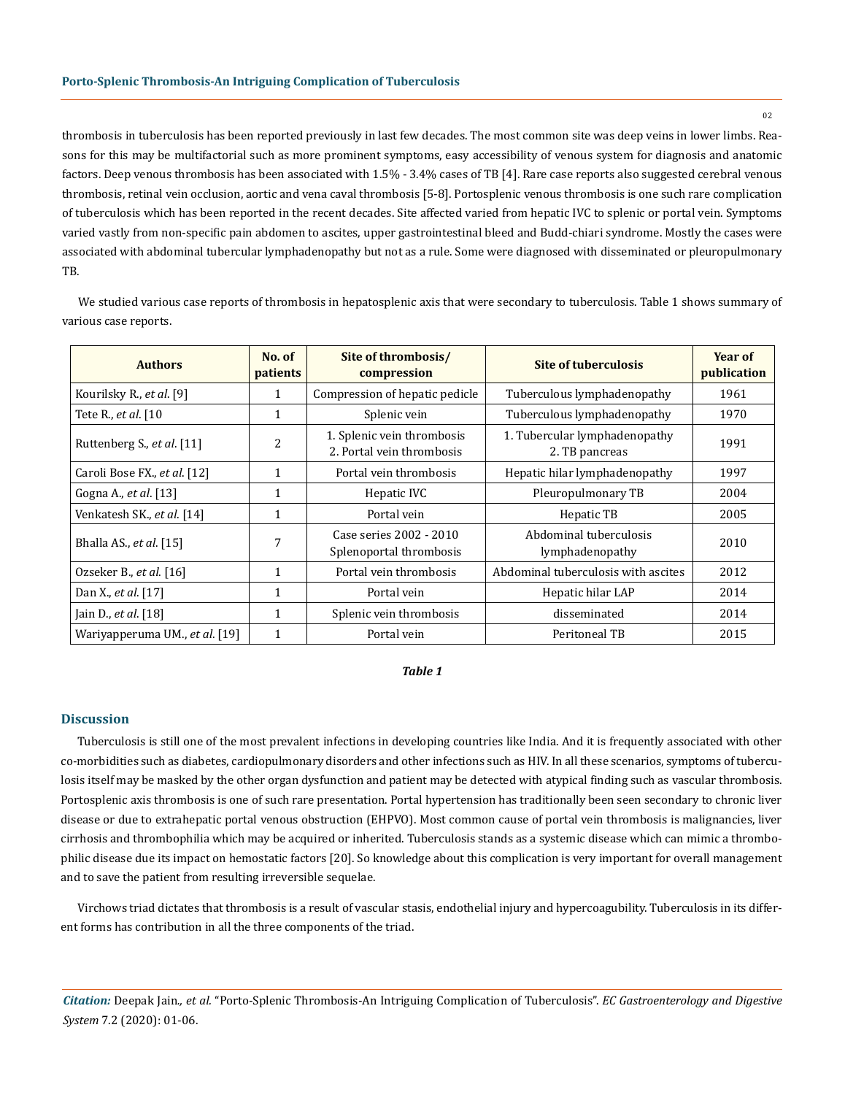thrombosis in tuberculosis has been reported previously in last few decades. The most common site was deep veins in lower limbs. Reasons for this may be multifactorial such as more prominent symptoms, easy accessibility of venous system for diagnosis and anatomic factors. Deep venous thrombosis has been associated with 1.5% - 3.4% cases of TB [4]. Rare case reports also suggested cerebral venous thrombosis, retinal vein occlusion, aortic and vena caval thrombosis [5-8]. Portosplenic venous thrombosis is one such rare complication of tuberculosis which has been reported in the recent decades. Site affected varied from hepatic IVC to splenic or portal vein. Symptoms varied vastly from non-specific pain abdomen to ascites, upper gastrointestinal bleed and Budd-chiari syndrome. Mostly the cases were associated with abdominal tubercular lymphadenopathy but not as a rule. Some were diagnosed with disseminated or pleuropulmonary TB.

We studied various case reports of thrombosis in hepatosplenic axis that were secondary to tuberculosis. Table 1 shows summary of various case reports.

| <b>Authors</b>                 | No. of<br>patients | Site of thrombosis/<br>compression                      | <b>Site of tuberculosis</b>                     | Year of<br>publication |
|--------------------------------|--------------------|---------------------------------------------------------|-------------------------------------------------|------------------------|
| Kourilsky R., et al. [9]       | 1                  | Compression of hepatic pedicle                          | Tuberculous lymphadenopathy                     | 1961                   |
| Tete R., et al. [10            | 1                  | Splenic vein                                            | Tuberculous lymphadenopathy                     | 1970                   |
| Ruttenberg S., et al. [11]     | 2                  | 1. Splenic vein thrombosis<br>2. Portal vein thrombosis | 1. Tubercular lymphadenopathy<br>2. TB pancreas | 1991                   |
| Caroli Bose FX., et al. [12]   | $\mathbf{1}$       | Portal vein thrombosis                                  | Hepatic hilar lymphadenopathy                   | 1997                   |
| Gogna A., <i>et al.</i> [13]   | 1                  | Hepatic IVC                                             | Pleuropulmonary TB                              | 2004                   |
| Venkatesh SK., et al. [14]     | $\mathbf{1}$       | Portal vein                                             | Hepatic TB                                      | 2005                   |
| Bhalla AS., et al. [15]        | 7                  | Case series 2002 - 2010<br>Splenoportal thrombosis      | Abdominal tuberculosis<br>lymphadenopathy       | 2010                   |
| Ozseker B., et al. [16]        | $\mathbf{1}$       | Portal vein thrombosis                                  | Abdominal tuberculosis with ascites             | 2012                   |
| Dan X., et al. [17]            | $\mathbf{1}$       | Portal vein                                             | Hepatic hilar LAP                               | 2014                   |
| Jain D., et al. [18]           | $\mathbf{1}$       | Splenic vein thrombosis                                 | disseminated                                    | 2014                   |
| Wariyapperuma UM., et al. [19] | $\mathbf{1}$       | Portal vein                                             | Peritoneal TB                                   | 2015                   |

*Table 1*

### **Discussion**

Tuberculosis is still one of the most prevalent infections in developing countries like India. And it is frequently associated with other co-morbidities such as diabetes, cardiopulmonary disorders and other infections such as HIV. In all these scenarios, symptoms of tuberculosis itself may be masked by the other organ dysfunction and patient may be detected with atypical finding such as vascular thrombosis. Portosplenic axis thrombosis is one of such rare presentation. Portal hypertension has traditionally been seen secondary to chronic liver disease or due to extrahepatic portal venous obstruction (EHPVO). Most common cause of portal vein thrombosis is malignancies, liver cirrhosis and thrombophilia which may be acquired or inherited. Tuberculosis stands as a systemic disease which can mimic a thrombophilic disease due its impact on hemostatic factors [20]. So knowledge about this complication is very important for overall management and to save the patient from resulting irreversible sequelae.

Virchows triad dictates that thrombosis is a result of vascular stasis, endothelial injury and hypercoagubility. Tuberculosis in its different forms has contribution in all the three components of the triad.

*Citation:* Deepak Jain*., et al.* "Porto-Splenic Thrombosis-An Intriguing Complication of Tuberculosis". *EC Gastroenterology and Digestive System* 7.2 (2020): 01-06.

02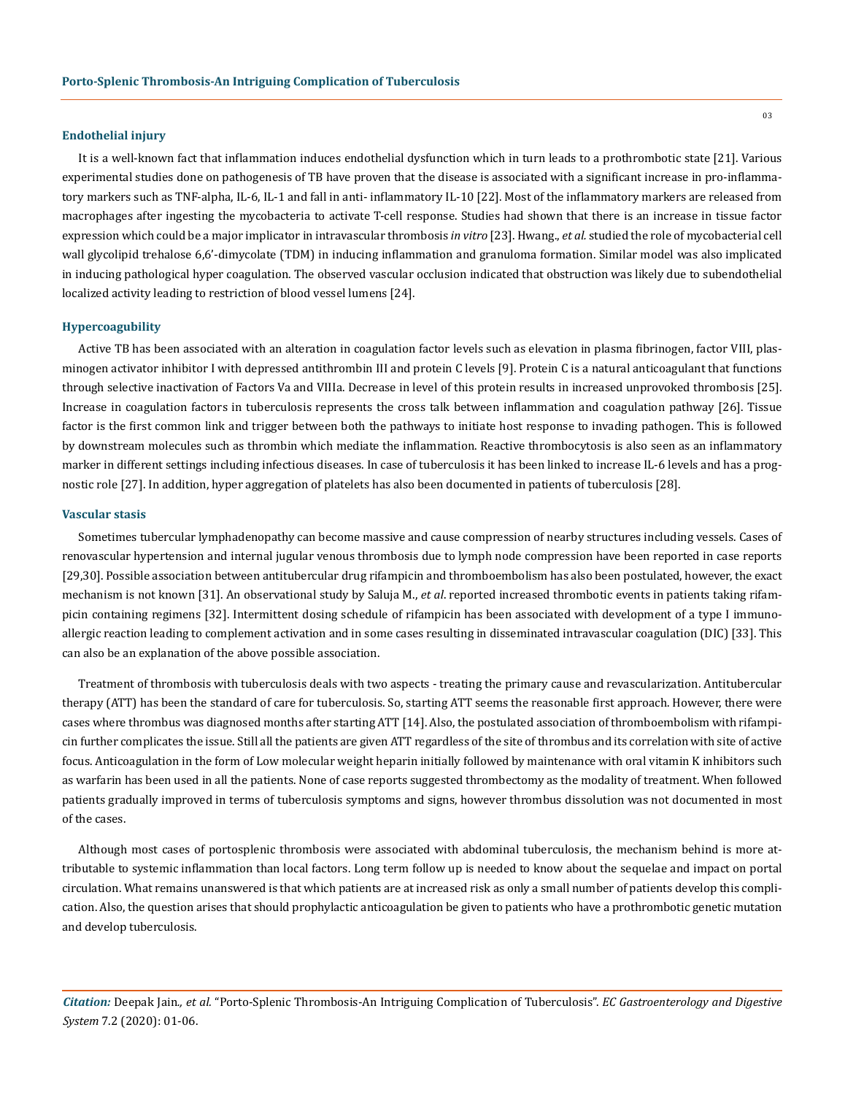### **Endothelial injury**

It is a well-known fact that inflammation induces endothelial dysfunction which in turn leads to a prothrombotic state [21]. Various experimental studies done on pathogenesis of TB have proven that the disease is associated with a significant increase in pro-inflammatory markers such as TNF-alpha, IL-6, IL-1 and fall in anti- inflammatory IL-10 [22]. Most of the inflammatory markers are released from macrophages after ingesting the mycobacteria to activate T-cell response. Studies had shown that there is an increase in tissue factor expression which could be a major implicator in intravascular thrombosis *in vitro* [23]. Hwang., *et al.* studied the role of mycobacterial cell wall glycolipid trehalose 6,6'-dimycolate (TDM) in inducing inflammation and granuloma formation. Similar model was also implicated in inducing pathological hyper coagulation. The observed vascular occlusion indicated that obstruction was likely due to subendothelial localized activity leading to restriction of blood vessel lumens [24].

#### **Hypercoagubility**

Active TB has been associated with an alteration in coagulation factor levels such as elevation in plasma fibrinogen, factor VIII, plasminogen activator inhibitor I with depressed antithrombin III and protein C levels [9]. Protein C is a natural anticoagulant that functions through selective inactivation of Factors Va and VIIIa. Decrease in level of this protein results in increased unprovoked thrombosis [25]. Increase in coagulation factors in tuberculosis represents the cross talk between inflammation and coagulation pathway [26]. Tissue factor is the first common link and trigger between both the pathways to initiate host response to invading pathogen. This is followed by downstream molecules such as thrombin which mediate the inflammation. Reactive thrombocytosis is also seen as an inflammatory marker in different settings including infectious diseases. In case of tuberculosis it has been linked to increase IL-6 levels and has a prognostic role [27]. In addition, hyper aggregation of platelets has also been documented in patients of tuberculosis [28].

#### **Vascular stasis**

Sometimes tubercular lymphadenopathy can become massive and cause compression of nearby structures including vessels. Cases of renovascular hypertension and internal jugular venous thrombosis due to lymph node compression have been reported in case reports [29,30]. Possible association between antitubercular drug rifampicin and thromboembolism has also been postulated, however, the exact mechanism is not known [31]. An observational study by Saluja M., *et al*. reported increased thrombotic events in patients taking rifampicin containing regimens [32]. Intermittent dosing schedule of rifampicin has been associated with development of a type I immunoallergic reaction leading to complement activation and in some cases resulting in disseminated intravascular coagulation (DIC) [33]. This can also be an explanation of the above possible association.

Treatment of thrombosis with tuberculosis deals with two aspects - treating the primary cause and revascularization. Antitubercular therapy (ATT) has been the standard of care for tuberculosis. So, starting ATT seems the reasonable first approach. However, there were cases where thrombus was diagnosed months after starting ATT [14]. Also, the postulated association of thromboembolism with rifampicin further complicates the issue. Still all the patients are given ATT regardless of the site of thrombus and its correlation with site of active focus. Anticoagulation in the form of Low molecular weight heparin initially followed by maintenance with oral vitamin K inhibitors such as warfarin has been used in all the patients. None of case reports suggested thrombectomy as the modality of treatment. When followed patients gradually improved in terms of tuberculosis symptoms and signs, however thrombus dissolution was not documented in most of the cases.

Although most cases of portosplenic thrombosis were associated with abdominal tuberculosis, the mechanism behind is more attributable to systemic inflammation than local factors. Long term follow up is needed to know about the sequelae and impact on portal circulation. What remains unanswered is that which patients are at increased risk as only a small number of patients develop this complication. Also, the question arises that should prophylactic anticoagulation be given to patients who have a prothrombotic genetic mutation and develop tuberculosis.

*Citation:* Deepak Jain*., et al.* "Porto-Splenic Thrombosis-An Intriguing Complication of Tuberculosis". *EC Gastroenterology and Digestive System* 7.2 (2020): 01-06.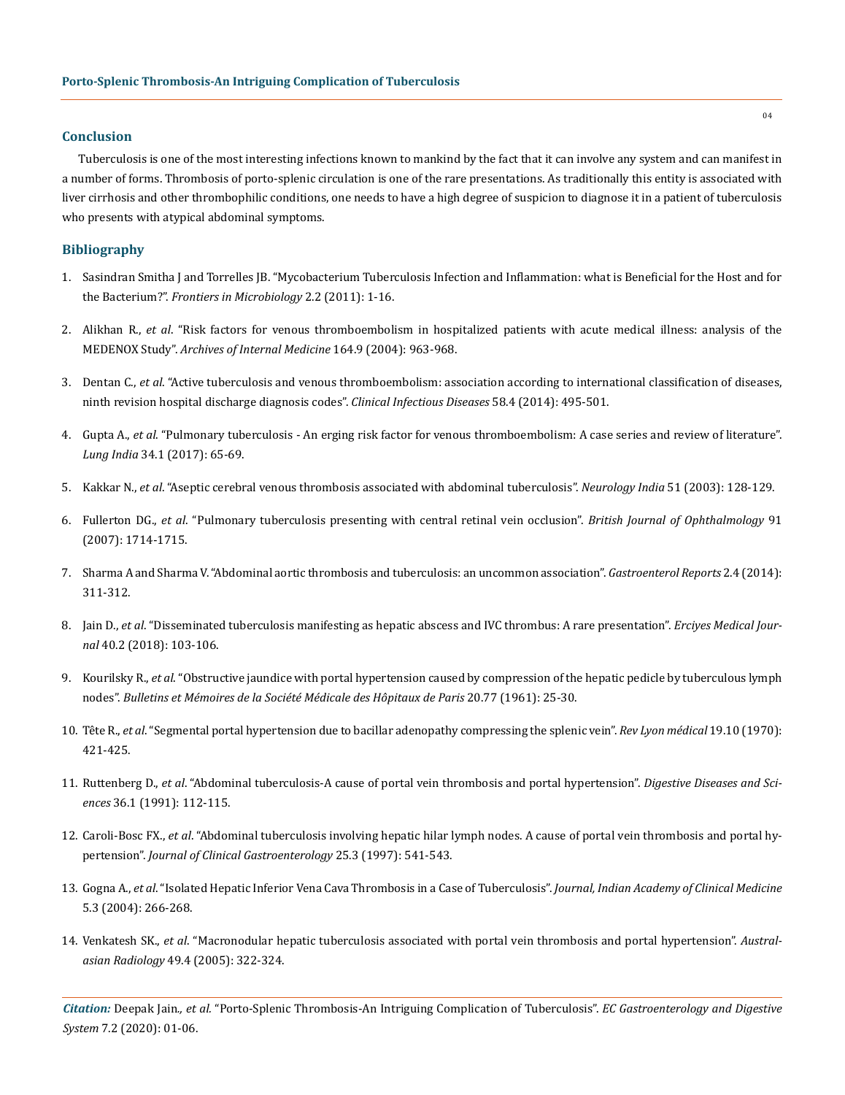## **Conclusion**

Tuberculosis is one of the most interesting infections known to mankind by the fact that it can involve any system and can manifest in a number of forms. Thrombosis of porto-splenic circulation is one of the rare presentations. As traditionally this entity is associated with liver cirrhosis and other thrombophilic conditions, one needs to have a high degree of suspicion to diagnose it in a patient of tuberculosis who presents with atypical abdominal symptoms.

# **Bibliography**

- 1. [Sasindran Smitha J and Torrelles JB. "Mycobacterium Tuberculosis Infection and Inflammation: what is Beneficial for the Host and for](https://www.ncbi.nlm.nih.gov/pmc/articles/PMC3109289/) the Bacterium?". *[Frontiers in Microbiology](https://www.ncbi.nlm.nih.gov/pmc/articles/PMC3109289/)* 2.2 (2011): 1-16.
- 2. Alikhan R., *et al*[. "Risk factors for venous thromboembolism in hospitalized patients with acute medical illness: analysis of the](https://www.ncbi.nlm.nih.gov/pubmed/15136304) MEDENOX Study". *[Archives of Internal Medicine](https://www.ncbi.nlm.nih.gov/pubmed/15136304)* 164.9 (2004): 963-968.
- 3. Dentan C., *et al*[. "Active tuberculosis and venous thromboembolism: association according to international classification of diseases,](https://www.ncbi.nlm.nih.gov/pubmed/24280089) [ninth revision hospital discharge diagnosis codes".](https://www.ncbi.nlm.nih.gov/pubmed/24280089) *Clinical Infectious Diseases* 58.4 (2014): 495-501.
- 4. Gupta A., *et al*[. "Pulmonary tuberculosis An erging risk factor for venous thromboembolism: A case series and review of literature".](https://www.ncbi.nlm.nih.gov/pubmed/28144063) *Lung India* [34.1 \(2017\): 65-69.](https://www.ncbi.nlm.nih.gov/pubmed/28144063)
- 5. Kakkar N., *et al*[. "Aseptic cerebral venous thrombosis associated with abdominal tuberculosis".](http://www.neurologyindia.com/article.asp?issn=0028-3886;year=2003;volume=51;issue=1;spage=128;epage=129;aulast=Kakkar) *Neurology India* 51 (2003): 128-129.
- 6. Fullerton DG., *et al*[. "Pulmonary tuberculosis presenting with central retinal vein occlusion".](https://www.ncbi.nlm.nih.gov/pmc/articles/PMC2095510/) *British Journal of Ophthalmology* 91 [\(2007\): 1714-1715.](https://www.ncbi.nlm.nih.gov/pmc/articles/PMC2095510/)
- 7. [Sharma A and Sharma V. "Abdominal aortic thrombosis and tuberculosis: an uncommon association".](https://www.ncbi.nlm.nih.gov/pmc/articles/PMC4219137/) *Gastroenterol Reports* 2.4 (2014): [311-312.](https://www.ncbi.nlm.nih.gov/pmc/articles/PMC4219137/)
- 8. Jain D., *et al*[. "Disseminated tuberculosis manifesting as hepatic abscess and IVC thrombus: A rare presentation".](https://www.researchgate.net/publication/325209499_Disseminated_Tuberculosis_Manifesting_as_Hepatic_Abscess_and_IVC_Thrombosis_A_Rare_Presentation) *Erciyes Medical Journal* [40.2 \(2018\): 103-106.](https://www.researchgate.net/publication/325209499_Disseminated_Tuberculosis_Manifesting_as_Hepatic_Abscess_and_IVC_Thrombosis_A_Rare_Presentation)
- 9. Kourilsky R., *et al*[. "Obstructive jaundice with portal hypertension caused by compression of the hepatic pedicle by tuberculous lymph](https://www.ncbi.nlm.nih.gov/pubmed/13831044) nodes". *[Bulletins et Mémoires de la Société Médicale des Hôpitaux de Paris](https://www.ncbi.nlm.nih.gov/pubmed/13831044)* 20.77 (1961): 25-30.
- 10. Tête R., *et al*[. "Segmental portal hypertension due to bacillar adenopathy compressing the splenic vein".](https://www.ncbi.nlm.nih.gov/pubmed/5454135) *Rev Lyon médical* 19.10 (1970): [421-425.](https://www.ncbi.nlm.nih.gov/pubmed/5454135)
- 11. Ruttenberg D., *et al*[. "Abdominal tuberculosis-A cause of portal vein thrombosis and portal hypertension".](https://link.springer.com/article/10.1007/BF01300098) *Digestive Diseases and Sciences* [36.1 \(1991\): 112-115.](https://link.springer.com/article/10.1007/BF01300098)
- 12. Caroli-Bosc FX., *et al*[. "Abdominal tuberculosis involving hepatic hilar lymph nodes. A cause of portal vein thrombosis and portal hy](https://www.ncbi.nlm.nih.gov/pubmed/9412974)pertension". *[Journal of Clinical Gastroenterology](https://www.ncbi.nlm.nih.gov/pubmed/9412974)* 25.3 (1997): 541-543.
- 13. Gogna A., *et al*[. "Isolated Hepatic Inferior Vena Cava Thrombosis in a Case of Tuberculosis".](http://medind.nic.in/jac/t04/i3/jact04i3p266.pdf) *Journal, Indian Academy of Clinical Medicine* [5.3 \(2004\): 266-268.](http://medind.nic.in/jac/t04/i3/jact04i3p266.pdf)
- 14. Venkatesh SK., *et al*[. "Macronodular hepatic tuberculosis associated with portal vein thrombosis and portal hypertension".](https://www.ncbi.nlm.nih.gov/pubmed/16026440) *Australasian Radiology* [49.4 \(2005\): 322-324.](https://www.ncbi.nlm.nih.gov/pubmed/16026440)

*Citation:* Deepak Jain*., et al.* "Porto-Splenic Thrombosis-An Intriguing Complication of Tuberculosis". *EC Gastroenterology and Digestive System* 7.2 (2020): 01-06.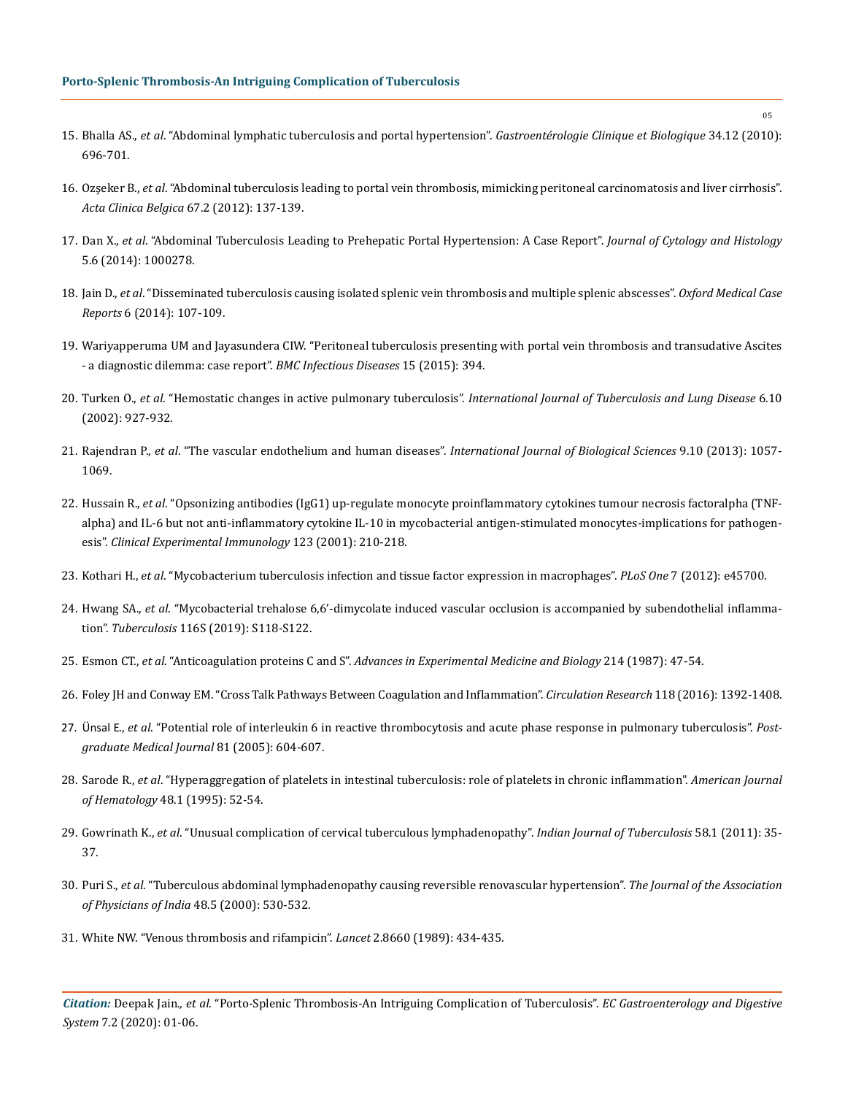- 15. Bhalla AS., *et al*[. "Abdominal lymphatic tuberculosis and portal hypertension".](https://www.ncbi.nlm.nih.gov/pubmed/20810228) *Gastroentérologie Clinique et Biologique* 34.12 (2010): [696-701.](https://www.ncbi.nlm.nih.gov/pubmed/20810228)
- 16. Ozşeker B., *et al*[. "Abdominal tuberculosis leading to portal vein thrombosis, mimicking peritoneal carcinomatosis and liver cirrhosis".](https://www.ncbi.nlm.nih.gov/pubmed/22712172)  *Acta Clinica Belgica* [67.2 \(2012\): 137-139.](https://www.ncbi.nlm.nih.gov/pubmed/22712172)
- 17. Dan X., *et al*[. "Abdominal Tuberculosis Leading to Prehepatic Portal Hypertension: A Case Report".](https://www.semanticscholar.org/paper/Abdominal-Tuberculosis-Leading-to-Prehepatic-Portal-Dan-Feng/6410dfe1313a1c9273553f7147e934e52ccdf68d) *Journal of Cytology and Histology*  [5.6 \(2014\): 1000278.](https://www.semanticscholar.org/paper/Abdominal-Tuberculosis-Leading-to-Prehepatic-Portal-Dan-Feng/6410dfe1313a1c9273553f7147e934e52ccdf68d)
- 18. Jain D., *et al*[. "Disseminated tuberculosis causing isolated splenic vein thrombosis and multiple splenic abscesses".](https://www.ncbi.nlm.nih.gov/pmc/articles/PMC4369988/) *Oxford Medical Case Reports* [6 \(2014\): 107-109.](https://www.ncbi.nlm.nih.gov/pmc/articles/PMC4369988/)
- 19. [Wariyapperuma UM and Jayasundera CIW. "Peritoneal tuberculosis presenting with portal vein thrombosis and transudative Ascites](https://www.ncbi.nlm.nih.gov/pmc/articles/PMC4588684/) [- a diagnostic dilemma: case report".](https://www.ncbi.nlm.nih.gov/pmc/articles/PMC4588684/) *BMC Infectious Diseases* 15 (2015): 394.
- 20. Turken O., *et al*. "Hemostatic changes in active pulmonary tuberculosis". *[International Journal of Tuberculosis and Lung Disease](https://www.ncbi.nlm.nih.gov/pubmed/12365581)* 6.10 [\(2002\): 927-932.](https://www.ncbi.nlm.nih.gov/pubmed/12365581)
- 21. Rajendran P., *et al*[. "The vascular endothelium and human diseases".](https://www.ncbi.nlm.nih.gov/pubmed/24250251) *International Journal of Biological Sciences* 9.10 (2013): 1057- [1069.](https://www.ncbi.nlm.nih.gov/pubmed/24250251)
- 22. Hussain R., *et al*[. "Opsonizing antibodies \(IgG1\) up-regulate monocyte proinflammatory cytokines tumour necrosis factoralpha \(TNF](https://www.ncbi.nlm.nih.gov/pubmed/11207650)[alpha\) and IL-6 but not anti-inflammatory cytokine IL-10 in mycobacterial antigen-stimulated monocytes-implications for pathogen](https://www.ncbi.nlm.nih.gov/pubmed/11207650)esis". *[Clinical Experimental Immunology](https://www.ncbi.nlm.nih.gov/pubmed/11207650)* 123 (2001): 210-218.
- 23. Kothari H., *et al*[. "Mycobacterium tuberculosis infection and tissue factor expression in macrophages".](https://www.ncbi.nlm.nih.gov/pubmed/23029190) *PLoS One* 7 (2012): e45700.
- 24. Hwang SA., *et al*[. "Mycobacterial trehalose 6,6'-dimycolate induced vascular occlusion is accompanied by subendothelial inflamma](https://www.ncbi.nlm.nih.gov/pubmed/31072690)tion". *Tuberculosis* [116S \(2019\): S118-S122.](https://www.ncbi.nlm.nih.gov/pubmed/31072690)
- 25. Esmon CT., *et al*. "Anticoagulation proteins C and S". *[Advances in Experimental Medicine and Biology](https://www.ncbi.nlm.nih.gov/pubmed/2959034)* 214 (1987): 47-54.
- 26. [Foley JH and Conway EM. "Cross Talk Pathways Between Coagulation and Inflammation".](https://www.ncbi.nlm.nih.gov/pubmed/27126649) *Circulation Research* 118 (2016): 1392-1408.
- 27. Ünsal E., *et al*[. "Potential role of interleukin 6 in reactive thrombocytosis and acute phase response in pulmonary tuberculosis".](https://www.ncbi.nlm.nih.gov/pubmed/16143693) *Post[graduate Medical Journal](https://www.ncbi.nlm.nih.gov/pubmed/16143693)* 81 (2005): 604-607.
- 28. Sarode R., *et al*[. "Hyperaggregation of platelets in intestinal tuberculosis: role of platelets in chronic inflammation".](https://www.ncbi.nlm.nih.gov/pubmed/7832193) *American Journal of Hematology* [48.1 \(1995\): 52-54.](https://www.ncbi.nlm.nih.gov/pubmed/7832193)
- 29. Gowrinath K., *et al*[. "Unusual complication of cervical tuberculous lymphadenopathy".](https://www.ncbi.nlm.nih.gov/pubmed/21434555) *Indian Journal of Tuberculosis* 58.1 (2011): 35- [37.](https://www.ncbi.nlm.nih.gov/pubmed/21434555)
- 30. Puri S., *et al*[. "Tuberculous abdominal lymphadenopathy causing reversible renovascular hypertension".](https://www.ncbi.nlm.nih.gov/pubmed/11273151) *The Journal of the Association [of Physicians of India](https://www.ncbi.nlm.nih.gov/pubmed/11273151)* 48.5 (2000): 530-532.
- 31. [White NW. "Venous thrombosis and rifampicin".](https://www.ncbi.nlm.nih.gov/pubmed/2569610) *Lancet* 2.8660 (1989): 434-435.

*Citation:* Deepak Jain*., et al.* "Porto-Splenic Thrombosis-An Intriguing Complication of Tuberculosis". *EC Gastroenterology and Digestive System* 7.2 (2020): 01-06.

05